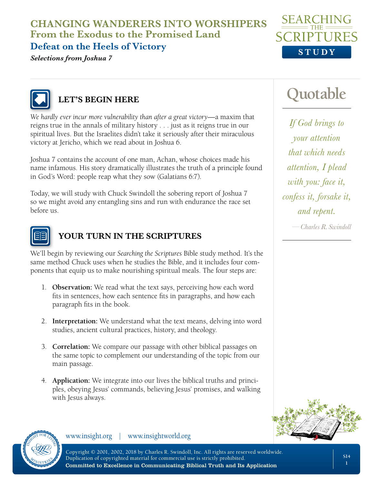**CHANGING WANDERERS INTO WORSHIPERS From the Exodus to the Promised Land**

## **Defeat on the Heels of Victory**

*Selections from Joshua 7*





# **LET'S BEGIN HERE**

*We hardly ever incur more vulnerability than after a great victory*—a maxim that reigns true in the annals of military history . . . just as it reigns true in our spiritual lives. But the Israelites didn't take it seriously after their miraculous victory at Jericho, which we read about in Joshua 6.

Joshua 7 contains the account of one man, Achan, whose choices made his name infamous. His story dramatically illustrates the truth of a principle found in God's Word: people reap what they sow (Galatians 6:7).

Today, we will study with Chuck Swindoll the sobering report of Joshua 7 so we might avoid any entangling sins and run with endurance the race set before us.



## **YOUR TURN IN THE SCRIPTURES**

We'll begin by reviewing our *Searching the Scriptures* Bible study method. It's the same method Chuck uses when he studies the Bible, and it includes four components that equip us to make nourishing spiritual meals. The four steps are:

- 1. **Observation:** We read what the text says, perceiving how each word fits in sentences, how each sentence fits in paragraphs, and how each paragraph fits in the book.
- 2. **Interpretation:** We understand what the text means, delving into word studies, ancient cultural practices, history, and theology.
- 3. **Correlation:** We compare our passage with other biblical passages on the same topic to complement our understanding of the topic from our main passage.
- 4. **Application:** We integrate into our lives the biblical truths and principles, obeying Jesus' commands, believing Jesus' promises, and walking with Jesus always.





www.insight.org | www.insightworld.org

Copyright © 2001, 2002, 2018 by Charles R. Swindoll, Inc. All rights are reserved worldwide. Duplication of copyrighted material for commercial use is strictly prohibited. Committed to Excellence in Communicating Biblical Truth and Its Application

# **Quotable**

*If God brings to your attention that which needs attention, I plead with you: face it, confess it, forsake it, and repent.*

*—Charles R. Swindoll*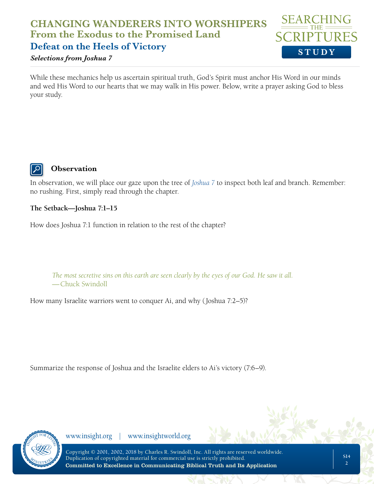## **CHANGING WANDERERS INTO WORSHIPERS From the Exodus to the Promised Land Defeat on the Heels of Victory**

#### *Selections from Joshua 7*

While these mechanics help us ascertain spiritual truth, God's Spirit must anchor His Word in our minds and wed His Word to our hearts that we may walk in His power. Below, write a prayer asking God to bless your study.



#### **Observation**

In observation, we will place our gaze upon the tree of *[Joshua 7](https://www.biblegateway.com/passage/?search=Joshua%207%3A1-15%2C%2016-26&version=NLT;NASB)* to inspect both leaf and branch. Remember: no rushing. First, simply read through the chapter.

#### **The Setback—Joshua 7:1–15**

How does Joshua 7:1 function in relation to the rest of the chapter?

*The most secretive sins on this earth are seen clearly by the eyes of our God. He saw it all.*  —Chuck Swindoll

How many Israelite warriors went to conquer Ai, and why (Joshua 7:2–5)?

Summarize the response of Joshua and the Israelite elders to Ai's victory (7:6–9).



www.insight.org | www.insightworld.org

**STUDY**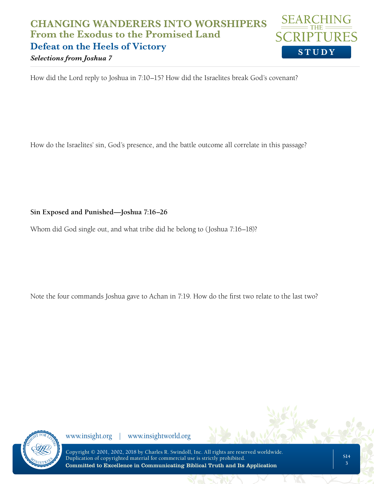## **STUDY CHANGING WANDERERS INTO WORSHIPERS From the Exodus to the Promised Land Defeat on the Heels of Victory**

*Selections from Joshua 7*

How did the Lord reply to Joshua in 7:10–15? How did the Israelites break God's covenant?

How do the Israelites' sin, God's presence, and the battle outcome all correlate in this passage?

**Sin Exposed and Punished—Joshua 7:16–26**

Whom did God single out, and what tribe did he belong to (Joshua 7:16–18)?

Note the four commands Joshua gave to Achan in 7:19. How do the first two relate to the last two?



www.insight.org | www.insightworld.org

Copyright © 2001, 2002, 2018 by Charles R. Swindoll, Inc. All rights are reserved worldwide. Duplication of copyrighted material for commercial use is strictly prohibited. Committed to Excellence in Communicating Biblical Truth and Its Application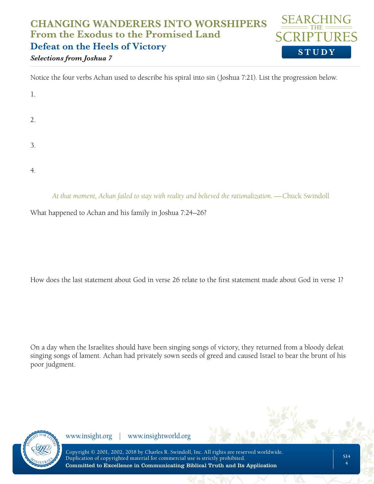### **STUDY CHANGING WANDERERS INTO WORSHIPERS From the Exodus to the Promised Land Defeat on the Heels of Victory** *Selections from Joshua 7*

Notice the four verbs Achan used to describe his spiral into sin (Joshua 7:21). List the progression below.

| $\mathbf{1}$ . |  |  |
|----------------|--|--|
| 2.             |  |  |
| 3.             |  |  |
|                |  |  |

4.

*At that moment, Achan failed to stay with reality and believed the rationalization.* —Chuck Swindoll

What happened to Achan and his family in Joshua 7:24–26?

How does the last statement about God in verse 26 relate to the first statement made about God in verse 1?

On a day when the Israelites should have been singing songs of victory, they returned from a bloody defeat singing songs of lament. Achan had privately sown seeds of greed and caused Israel to bear the brunt of his poor judgment.

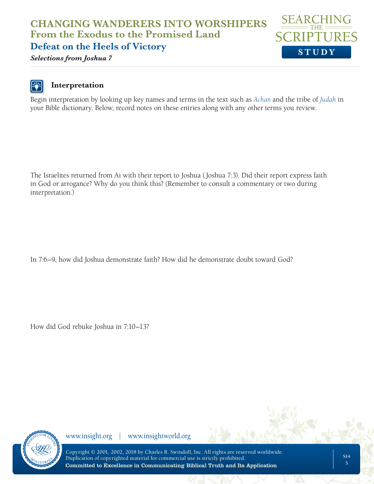## **CHANGING WANDERERS INTO WORSHIPERS From the Exodus to the Promised Land Defeat on the Heels of Victory**



*Selections from Joshua 7*

## **Interpretation**

Begin interpretation by looking up key names and terms in the text such as *[Achan](https://www.biblegateway.com/resources/encyclopedia-of-the-bible/Achan)* and the tribe of *[Judah](https://www.biblegateway.com/resources/encyclopedia-of-the-bible/Judah)* in your Bible dictionary. Below, record notes on these entries along with any other terms you review.

The Israelites returned from Ai with their report to Joshua (Joshua 7:3). Did their report express faith in God or arrogance? Why do you think this? (Remember to consult a commentary or two during interpretation.)

In 7:6–9, how did Joshua demonstrate faith? How did he demonstrate doubt toward God?

How did God rebuke Joshua in 7:10–13?

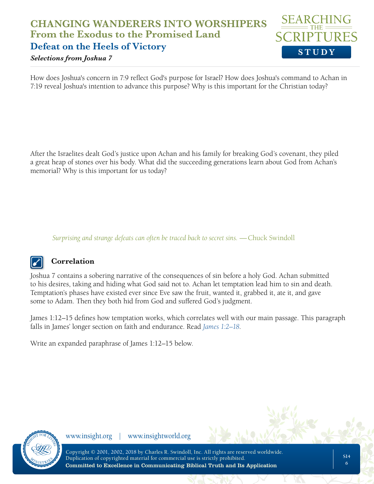## **STUDY CHANGING WANDERERS INTO WORSHIPERS From the Exodus to the Promised Land Defeat on the Heels of Victory**

#### *Selections from Joshua 7*

How does Joshua's concern in 7:9 reflect God's purpose for Israel? How does Joshua's command to Achan in 7:19 reveal Joshua's intention to advance this purpose? Why is this important for the Christian today?

After the Israelites dealt God's justice upon Achan and his family for breaking God's covenant, they piled a great heap of stones over his body. What did the succeeding generations learn about God from Achan's memorial? Why is this important for us today?

*Surprising and strange defeats can often be traced back to secret sins.* —Chuck Swindoll



#### **Correlation**

Joshua 7 contains a sobering narrative of the consequences of sin before a holy God. Achan submitted to his desires, taking and hiding what God said not to. Achan let temptation lead him to sin and death. Temptation's phases have existed ever since Eve saw the fruit, wanted it, grabbed it, ate it, and gave some to Adam. Then they both hid from God and suffered God's judgment.

James 1:12–15 defines how temptation works, which correlates well with our main passage. This paragraph falls in James' longer section on faith and endurance. Read *[James 1:2–18](https://www.biblegateway.com/passage/?search=James+1%3A2-18&version=NLT;NASB)*.

Write an expanded paraphrase of James 1:12–15 below.

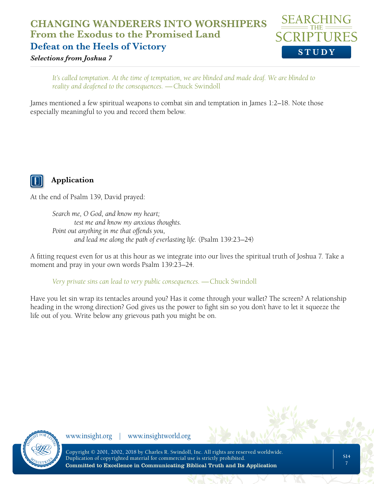## **CHANGING WANDERERS INTO WORSHIPERS From the Exodus to the Promised Land Defeat on the Heels of Victory**



*Selections from Joshua 7*

*It's called temptation. At the time of temptation, we are blinded and made deaf. We are blinded to reality and deafened to the consequences.* —Chuck Swindoll

James mentioned a few spiritual weapons to combat sin and temptation in James 1:2–18. Note those especially meaningful to you and record them below.



### **Application**

At the end of Psalm 139, David prayed:

*Search me, O God, and know my heart; test me and know my anxious thoughts. Point out anything in me that offends you, and lead me along the path of everlasting life.* (Psalm 139:23–24)

A fitting request even for us at this hour as we integrate into our lives the spiritual truth of Joshua 7. Take a moment and pray in your own words Psalm 139:23–24.

*Very private sins can lead to very public consequences.* — Chuck Swindoll

Have you let sin wrap its tentacles around you? Has it come through your wallet? The screen? A relationship heading in the wrong direction? God gives us the power to fight sin so you don't have to let it squeeze the life out of you. Write below any grievous path you might be on.

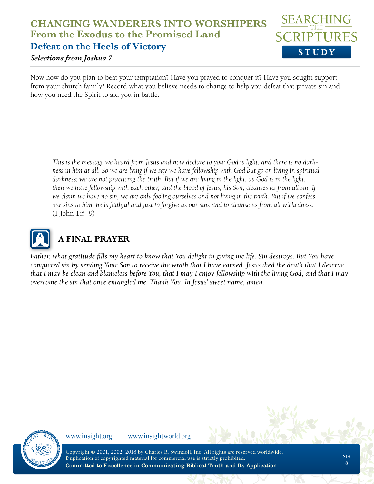## **STUDY CHANGING WANDERERS INTO WORSHIPERS From the Exodus to the Promised Land Defeat on the Heels of Victory**

#### *Selections from Joshua 7*

Now how do you plan to beat your temptation? Have you prayed to conquer it? Have you sought support from your church family? Record what you believe needs to change to help you defeat that private sin and how you need the Spirit to aid you in battle.

*This is the message we heard from Jesus and now declare to you: God is light, and there is no darkness in him at all. So we are lying if we say we have fellowship with God but go on living in spiritual darkness; we are not practicing the truth. But if we are living in the light, as God is in the light, then we have fellowship with each other, and the blood of Jesus, his Son, cleanses us from all sin. If we claim we have no sin, we are only fooling ourselves and not living in the truth. But if we confess our sins to him, he is faithful and just to forgive us our sins and to cleanse us from all wickedness.* (1 John 1:5–9)



# **A FINAL PRAYER**

*Father, what gratitude fills my heart to know that You delight in giving me life. Sin destroys. But You have conquered sin by sending Your Son to receive the wrath that I have earned. Jesus died the death that I deserve that I may be clean and blameless before You, that I may I enjoy fellowship with the living God, and that I may overcome the sin that once entangled me. Thank You. In Jesus' sweet name, amen.*